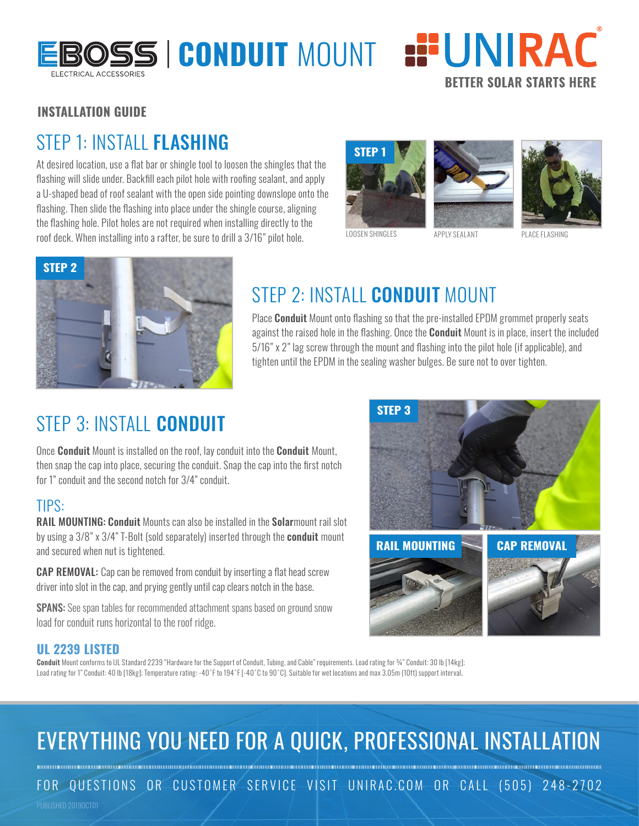

# BOSS | CONDUIT MOUNT :<sup>"</sup>UNIRAC **BETTER SOLAR STARTS HERE**

#### **INSTALLATION GUIDE**

### STEP 1: INSTALL **FLASHING**

At desired location, use a flat bar or shingle tool to loosen the shingles that the flashing will slide under. Backfill each pilot hole with roofing sealant, and apply a U-shaped bead of roof sealant with the open side pointing downslope onto the flashing. Then slide the flashing into place under the shingle course, aligning the flashing hole. Pilot holes are not required when installing directly to the roof deck. When installing into a rafter, be sure to drill a 3/16" pilot hole.







LOOSEN SHINGLES APPLY SEALANT



### STEP 2: INSTALL CONDUIT MOUNT

Place **Conduit** Mount onto flashing so that the pre-installed EPDM grommet properly seats against the raised hole in the flashing. Once the **Conduit** Mount is in place, insert the included 5/16" x 2" lag screw through the mount and flashing into the pilot hole (if applicable), and tighten until the EPDM in the sealing washer bulges. Be sure not to over tighten.

### STEP 3: INSTALL CONDUIT

Once **Conduit** Mount is installed on the roof, lay conduit into the **Conduit** Mount, then snap the cap into place, securing the conduit. Snap the cap into the first notch for 1" conduit and the second notch for 3/4" conduit.

### TIPS:

RAIL MOUNTING: Conduit Mounts can also be installed in the Solarmount rail slot by using a 3/8" x 3/4" T-Bolt (sold separately) inserted through the **conduit** mount and secured when nut is tightened.

**CAP REMOVAL:** Cap can be removed from conduit by inserting a flat head screw driver into slot in the cap, and prying gently until cap clears notch in the base.

SPANS: See span tables for recommended attachment spans based on ground snow load for conduit runs horizontal to the roof ridge.



#### **UL 2239 LISTED**

Conduit Mount conforms to UL Standard 2239 "Hardware for the Support of Conduit, Tubing, and Cable" requirements. Load rating for ¾" Conduit: 30 lb [14kg]; Load rating for 1" Conduit: 40 lb [18kg]; Temperature rating: -40° F to 194°F [-40°C to 90°C]. Suitable for wet locations and max 3.05m (10ft) support interval.

## EVERYTHING YOU NEED FOR A QUICK, PROFESSIONAL INSTALLATION

FOR QUESTIONS OR CUSTOMER SERVICE VISIT UNIRAC.COM OR CALL (505) 248-2702